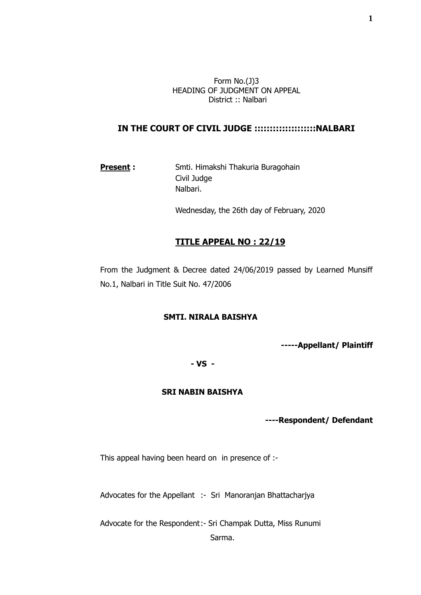Form No.(J)3 HEADING OF JUDGMENT ON APPEAL District :: Nalbari

# **IN THE COURT OF CIVIL JUDGE ::::::::::::::::::::NALBARI**

## **Present:** Smti. Himakshi Thakuria Buragohain Civil Judge Nalbari.

Wednesday, the 26th day of February, 2020

#### **TITLE APPEAL NO : 22/19**

From the Judgment & Decree dated 24/06/2019 passed by Learned Munsiff No.1, Nalbari in Title Suit No. 47/2006

#### **SMTI. NIRALA BAISHYA**

**-----Appellant/ Plaintiff**

## **- VS -**

# **SRI NABIN BAISHYA**

 **----Respondent/ Defendant**

This appeal having been heard on in presence of :-

Advocates for the Appellant :- Sri Manoranjan Bhattacharjya

Advocate for the Respondent:- Sri Champak Dutta, Miss Runumi

Sarma.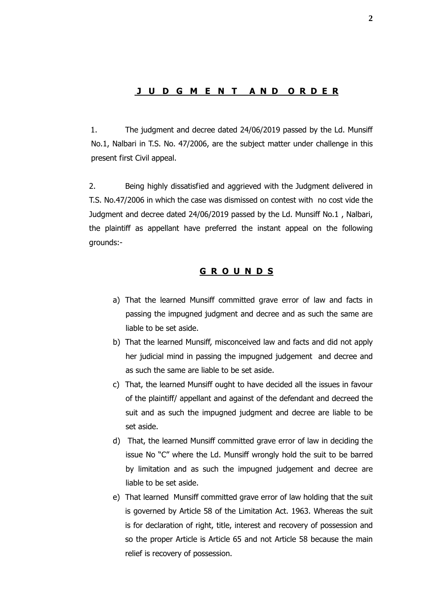### **J U D G M E N T A N D O R D E R**

1. The judgment and decree dated 24/06/2019 passed by the Ld. Munsiff No.1, Nalbari in T.S. No. 47/2006, are the subject matter under challenge in this present first Civil appeal.

2. Being highly dissatisfied and aggrieved with the Judgment delivered in T.S. No.47/2006 in which the case was dismissed on contest with no cost vide the Judgment and decree dated 24/06/2019 passed by the Ld. Munsiff No.1 , Nalbari, the plaintiff as appellant have preferred the instant appeal on the following grounds:-

### **G R O U N D S**

- a) That the learned Munsiff committed grave error of law and facts in passing the impugned judgment and decree and as such the same are liable to be set aside.
- b) That the learned Munsiff, misconceived law and facts and did not apply her judicial mind in passing the impugned judgement and decree and as such the same are liable to be set aside.
- c) That, the learned Munsiff ought to have decided all the issues in favour of the plaintiff/ appellant and against of the defendant and decreed the suit and as such the impugned judgment and decree are liable to be set aside.
- d) That, the learned Munsiff committed grave error of law in deciding the issue No "C" where the Ld. Munsiff wrongly hold the suit to be barred by limitation and as such the impugned judgement and decree are liable to be set aside.
- e) That learned Munsiff committed grave error of law holding that the suit is governed by Article 58 of the Limitation Act. 1963. Whereas the suit is for declaration of right, title, interest and recovery of possession and so the proper Article is Article 65 and not Article 58 because the main relief is recovery of possession.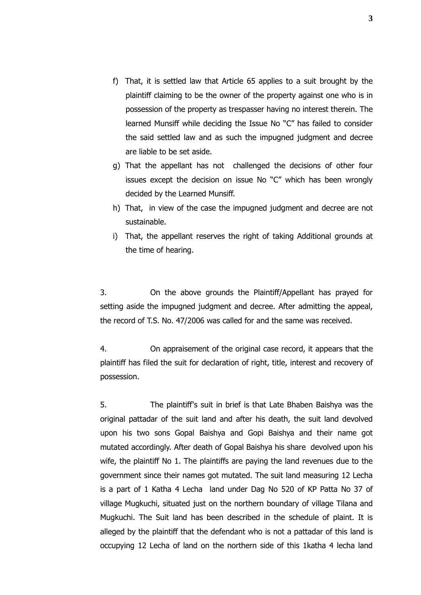- f) That, it is settled law that Article 65 applies to a suit brought by the plaintiff claiming to be the owner of the property against one who is in possession of the property as trespasser having no interest therein. The learned Munsiff while deciding the Issue No "C" has failed to consider the said settled law and as such the impugned judgment and decree are liable to be set aside.
- g) That the appellant has not challenged the decisions of other four issues except the decision on issue No "C" which has been wrongly decided by the Learned Munsiff.
- h) That, in view of the case the impugned judgment and decree are not sustainable.
- i) That, the appellant reserves the right of taking Additional grounds at the time of hearing.

3. On the above grounds the Plaintiff/Appellant has prayed for setting aside the impugned judgment and decree. After admitting the appeal, the record of T.S. No. 47/2006 was called for and the same was received.

4. On appraisement of the original case record, it appears that the plaintiff has filed the suit for declaration of right, title, interest and recovery of possession.

5. The plaintiff's suit in brief is that Late Bhaben Baishya was the original pattadar of the suit land and after his death, the suit land devolved upon his two sons Gopal Baishya and Gopi Baishya and their name got mutated accordingly. After death of Gopal Baishya his share devolved upon his wife, the plaintiff No 1. The plaintiffs are paying the land revenues due to the government since their names got mutated. The suit land measuring 12 Lecha is a part of 1 Katha 4 Lecha land under Dag No 520 of KP Patta No 37 of village Mugkuchi, situated just on the northern boundary of village Tilana and Mugkuchi. The Suit land has been described in the schedule of plaint. It is alleged by the plaintiff that the defendant who is not a pattadar of this land is occupying 12 Lecha of land on the northern side of this 1katha 4 lecha land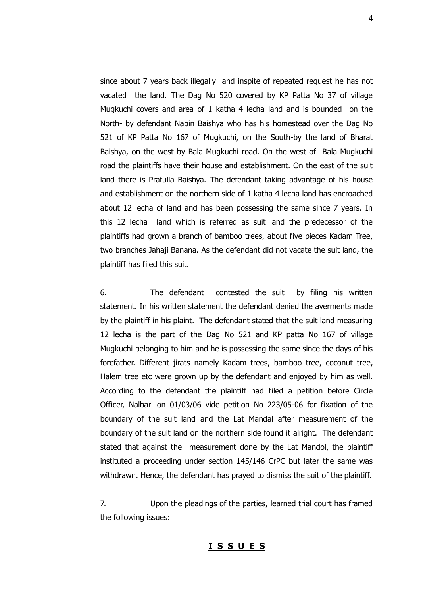since about 7 years back illegally and inspite of repeated request he has not vacated the land. The Dag No 520 covered by KP Patta No 37 of village Mugkuchi covers and area of 1 katha 4 lecha land and is bounded on the North- by defendant Nabin Baishya who has his homestead over the Dag No 521 of KP Patta No 167 of Mugkuchi, on the South-by the land of Bharat Baishya, on the west by Bala Mugkuchi road. On the west of Bala Mugkuchi road the plaintiffs have their house and establishment. On the east of the suit land there is Prafulla Baishya. The defendant taking advantage of his house and establishment on the northern side of 1 katha 4 lecha land has encroached about 12 lecha of land and has been possessing the same since 7 years. In this 12 lecha land which is referred as suit land the predecessor of the plaintiffs had grown a branch of bamboo trees, about five pieces Kadam Tree, two branches Jahaji Banana. As the defendant did not vacate the suit land, the plaintiff has filed this suit.

6. The defendant contested the suit by filing his written statement. In his written statement the defendant denied the averments made by the plaintiff in his plaint. The defendant stated that the suit land measuring 12 lecha is the part of the Dag No 521 and KP patta No 167 of village Mugkuchi belonging to him and he is possessing the same since the days of his forefather. Different jirats namely Kadam trees, bamboo tree, coconut tree, Halem tree etc were grown up by the defendant and enjoyed by him as well. According to the defendant the plaintiff had filed a petition before Circle Officer, Nalbari on 01/03/06 vide petition No 223/05-06 for fixation of the boundary of the suit land and the Lat Mandal after measurement of the boundary of the suit land on the northern side found it alright. The defendant stated that against the measurement done by the Lat Mandol, the plaintiff instituted a proceeding under section 145/146 CrPC but later the same was withdrawn. Hence, the defendant has prayed to dismiss the suit of the plaintiff.

7. Upon the pleadings of the parties, learned trial court has framed the following issues:

#### **I S S U E S**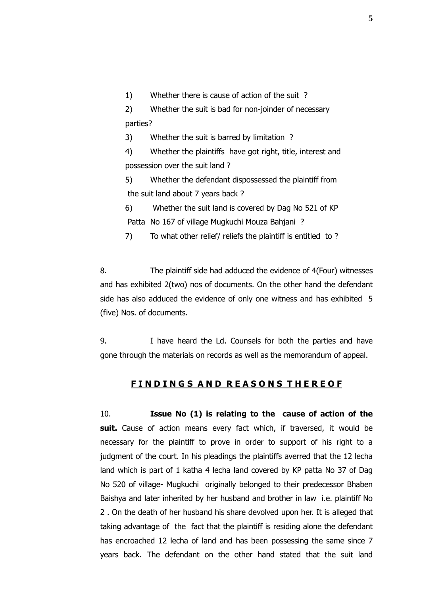1) Whether there is cause of action of the suit ?

2) Whether the suit is bad for non-joinder of necessary parties?

3) Whether the suit is barred by limitation ?

4) Whether the plaintiffs have got right, title, interest and possession over the suit land ?

5) Whether the defendant dispossessed the plaintiff from the suit land about 7 years back ?

6) Whether the suit land is covered by Dag No 521 of KP Patta No 167 of village Mugkuchi Mouza Bahjani ?

7) To what other relief/ reliefs the plaintiff is entitled to ?

8. The plaintiff side had adduced the evidence of 4(Four) witnesses and has exhibited 2(two) nos of documents. On the other hand the defendant side has also adduced the evidence of only one witness and has exhibited 5 (five) Nos. of documents.

9. I have heard the Ld. Counsels for both the parties and have gone through the materials on records as well as the memorandum of appeal.

## **F I N D I N G S A N D R E A S O N S T H E R E O F**

10. **Issue No (1) is relating to the cause of action of the**  suit. Cause of action means every fact which, if traversed, it would be necessary for the plaintiff to prove in order to support of his right to a judgment of the court. In his pleadings the plaintiffs averred that the 12 lecha land which is part of 1 katha 4 lecha land covered by KP patta No 37 of Dag No 520 of village- Mugkuchi originally belonged to their predecessor Bhaben Baishya and later inherited by her husband and brother in law i.e. plaintiff No 2 . On the death of her husband his share devolved upon her. It is alleged that taking advantage of the fact that the plaintiff is residing alone the defendant has encroached 12 lecha of land and has been possessing the same since 7 years back. The defendant on the other hand stated that the suit land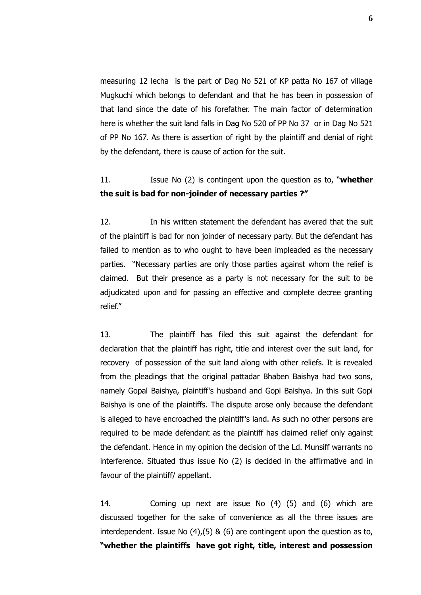measuring 12 lecha is the part of Dag No 521 of KP patta No 167 of village Mugkuchi which belongs to defendant and that he has been in possession of that land since the date of his forefather. The main factor of determination here is whether the suit land falls in Dag No 520 of PP No 37 or in Dag No 521 of PP No 167. As there is assertion of right by the plaintiff and denial of right by the defendant, there is cause of action for the suit.

# 11. Issue No (2) is contingent upon the question as to, "**whether the suit is bad for non-joinder of necessary parties ?"**

12. In his written statement the defendant has avered that the suit of the plaintiff is bad for non joinder of necessary party. But the defendant has failed to mention as to who ought to have been impleaded as the necessary parties. "Necessary parties are only those parties against whom the relief is claimed. But their presence as a party is not necessary for the suit to be adjudicated upon and for passing an effective and complete decree granting relief."

13. The plaintiff has filed this suit against the defendant for declaration that the plaintiff has right, title and interest over the suit land, for recovery of possession of the suit land along with other reliefs. It is revealed from the pleadings that the original pattadar Bhaben Baishya had two sons, namely Gopal Baishya, plaintiff's husband and Gopi Baishya. In this suit Gopi Baishya is one of the plaintiffs. The dispute arose only because the defendant is alleged to have encroached the plaintiff's land. As such no other persons are required to be made defendant as the plaintiff has claimed relief only against the defendant. Hence in my opinion the decision of the Ld. Munsiff warrants no interference. Situated thus issue No (2) is decided in the affirmative and in favour of the plaintiff/ appellant.

14. Coming up next are issue No (4) (5) and (6) which are discussed together for the sake of convenience as all the three issues are interdependent. Issue No (4),(5) & (6) are contingent upon the question as to, **"whether the plaintiffs have got right, title, interest and possession**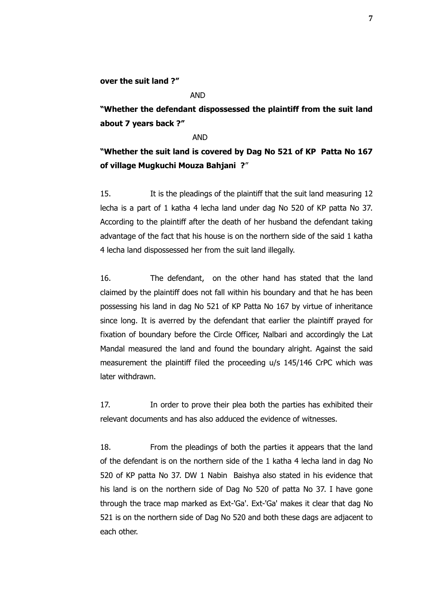**over the suit land ?"**

#### AND

**"Whether the defendant dispossessed the plaintiff from the suit land about 7 years back ?"**

#### AND

**"Whether the suit land is covered by Dag No 521 of KP Patta No 167 of village Mugkuchi Mouza Bahjani ?**"

15. It is the pleadings of the plaintiff that the suit land measuring 12 lecha is a part of 1 katha 4 lecha land under dag No 520 of KP patta No 37. According to the plaintiff after the death of her husband the defendant taking advantage of the fact that his house is on the northern side of the said 1 katha 4 lecha land dispossessed her from the suit land illegally.

16. The defendant, on the other hand has stated that the land claimed by the plaintiff does not fall within his boundary and that he has been possessing his land in dag No 521 of KP Patta No 167 by virtue of inheritance since long. It is averred by the defendant that earlier the plaintiff prayed for fixation of boundary before the Circle Officer, Nalbari and accordingly the Lat Mandal measured the land and found the boundary alright. Against the said measurement the plaintiff filed the proceeding u/s 145/146 CrPC which was later withdrawn.

17. In order to prove their plea both the parties has exhibited their relevant documents and has also adduced the evidence of witnesses.

18. From the pleadings of both the parties it appears that the land of the defendant is on the northern side of the 1 katha 4 lecha land in dag No 520 of KP patta No 37. DW 1 Nabin Baishya also stated in his evidence that his land is on the northern side of Dag No 520 of patta No 37. I have gone through the trace map marked as Ext-'Ga'. Ext-'Ga' makes it clear that dag No 521 is on the northern side of Dag No 520 and both these dags are adjacent to each other.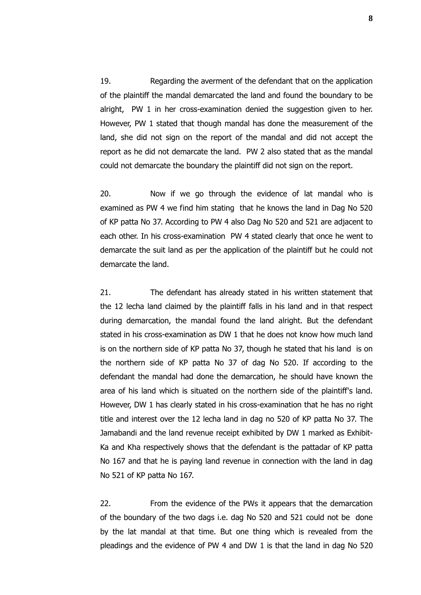19. Regarding the averment of the defendant that on the application of the plaintiff the mandal demarcated the land and found the boundary to be alright, PW 1 in her cross-examination denied the suggestion given to her. However, PW 1 stated that though mandal has done the measurement of the land, she did not sign on the report of the mandal and did not accept the report as he did not demarcate the land. PW 2 also stated that as the mandal could not demarcate the boundary the plaintiff did not sign on the report.

20. Now if we go through the evidence of lat mandal who is examined as PW 4 we find him stating that he knows the land in Dag No 520 of KP patta No 37. According to PW 4 also Dag No 520 and 521 are adjacent to each other. In his cross-examination PW 4 stated clearly that once he went to demarcate the suit land as per the application of the plaintiff but he could not demarcate the land.

21. The defendant has already stated in his written statement that the 12 lecha land claimed by the plaintiff falls in his land and in that respect during demarcation, the mandal found the land alright. But the defendant stated in his cross-examination as DW 1 that he does not know how much land is on the northern side of KP patta No 37, though he stated that his land is on the northern side of KP patta No 37 of dag No 520. If according to the defendant the mandal had done the demarcation, he should have known the area of his land which is situated on the northern side of the plaintiff's land. However, DW 1 has clearly stated in his cross-examination that he has no right title and interest over the 12 lecha land in dag no 520 of KP patta No 37. The Jamabandi and the land revenue receipt exhibited by DW 1 marked as Exhibit-Ka and Kha respectively shows that the defendant is the pattadar of KP patta No 167 and that he is paying land revenue in connection with the land in dag No 521 of KP patta No 167.

22. From the evidence of the PWs it appears that the demarcation of the boundary of the two dags i.e. dag No 520 and 521 could not be done by the lat mandal at that time. But one thing which is revealed from the pleadings and the evidence of PW 4 and DW 1 is that the land in dag No 520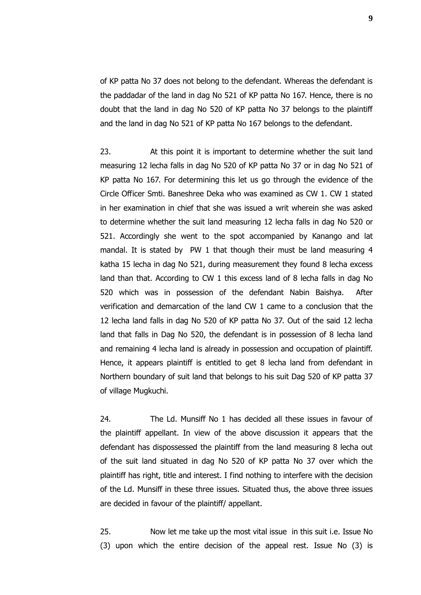of KP patta No 37 does not belong to the defendant. Whereas the defendant is the paddadar of the land in dag No 521 of KP patta No 167. Hence, there is no doubt that the land in dag No 520 of KP patta No 37 belongs to the plaintiff and the land in dag No 521 of KP patta No 167 belongs to the defendant.

23. At this point it is important to determine whether the suit land measuring 12 lecha falls in dag No 520 of KP patta No 37 or in dag No 521 of KP patta No 167. For determining this let us go through the evidence of the Circle Officer Smti. Baneshree Deka who was examined as CW 1. CW 1 stated in her examination in chief that she was issued a writ wherein she was asked to determine whether the suit land measuring 12 lecha falls in dag No 520 or 521. Accordingly she went to the spot accompanied by Kanango and lat mandal. It is stated by PW 1 that though their must be land measuring 4 katha 15 lecha in dag No 521, during measurement they found 8 lecha excess land than that. According to CW 1 this excess land of 8 lecha falls in dag No 520 which was in possession of the defendant Nabin Baishya. After verification and demarcation of the land CW 1 came to a conclusion that the 12 lecha land falls in dag No 520 of KP patta No 37. Out of the said 12 lecha land that falls in Dag No 520, the defendant is in possession of 8 lecha land and remaining 4 lecha land is already in possession and occupation of plaintiff. Hence, it appears plaintiff is entitled to get 8 lecha land from defendant in Northern boundary of suit land that belongs to his suit Dag 520 of KP patta 37 of village Mugkuchi.

24. The Ld. Munsiff No 1 has decided all these issues in favour of the plaintiff appellant. In view of the above discussion it appears that the defendant has dispossessed the plaintiff from the land measuring 8 lecha out of the suit land situated in dag No 520 of KP patta No 37 over which the plaintiff has right, title and interest. I find nothing to interfere with the decision of the Ld. Munsiff in these three issues. Situated thus, the above three issues are decided in favour of the plaintiff/ appellant.

25. Now let me take up the most vital issue in this suit i.e. Issue No (3) upon which the entire decision of the appeal rest. Issue No (3) is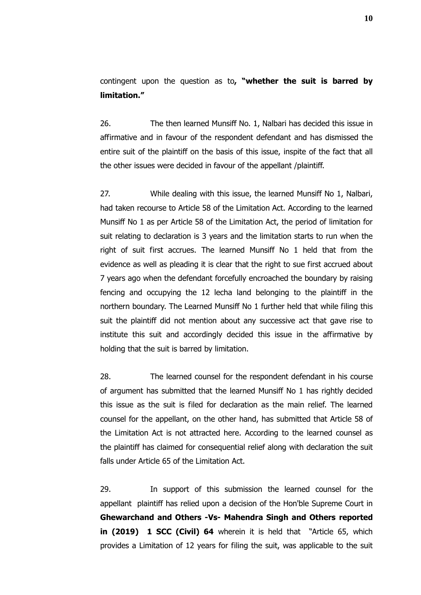contingent upon the question as to**, "whether the suit is barred by limitation."**

26. The then learned Munsiff No. 1, Nalbari has decided this issue in affirmative and in favour of the respondent defendant and has dismissed the entire suit of the plaintiff on the basis of this issue, inspite of the fact that all the other issues were decided in favour of the appellant /plaintiff.

27. While dealing with this issue, the learned Munsiff No 1, Nalbari, had taken recourse to Article 58 of the Limitation Act. According to the learned Munsiff No 1 as per Article 58 of the Limitation Act, the period of limitation for suit relating to declaration is 3 years and the limitation starts to run when the right of suit first accrues. The learned Munsiff No 1 held that from the evidence as well as pleading it is clear that the right to sue first accrued about 7 years ago when the defendant forcefully encroached the boundary by raising fencing and occupying the 12 lecha land belonging to the plaintiff in the northern boundary. The Learned Munsiff No 1 further held that while filing this suit the plaintiff did not mention about any successive act that gave rise to institute this suit and accordingly decided this issue in the affirmative by holding that the suit is barred by limitation.

28. The learned counsel for the respondent defendant in his course of argument has submitted that the learned Munsiff No 1 has rightly decided this issue as the suit is filed for declaration as the main relief. The learned counsel for the appellant, on the other hand, has submitted that Article 58 of the Limitation Act is not attracted here. According to the learned counsel as the plaintiff has claimed for consequential relief along with declaration the suit falls under Article 65 of the Limitation Act.

29. In support of this submission the learned counsel for the appellant plaintiff has relied upon a decision of the Hon'ble Supreme Court in **Ghewarchand and Others -Vs- Mahendra Singh and Others reported in (2019) 1 SCC (Civil) 64** wherein it is held that "Article 65, which provides a Limitation of 12 years for filing the suit, was applicable to the suit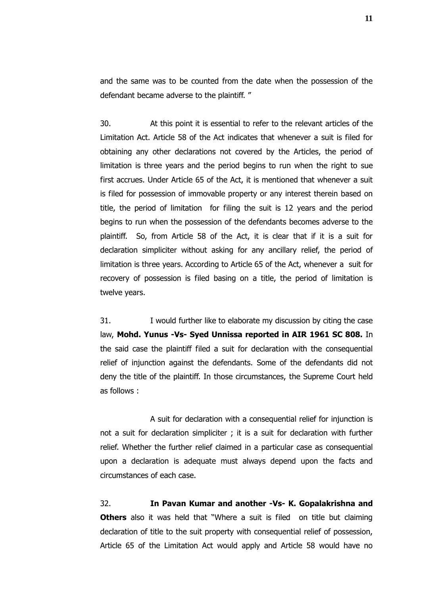and the same was to be counted from the date when the possession of the defendant became adverse to the plaintiff. "

30. At this point it is essential to refer to the relevant articles of the Limitation Act. Article 58 of the Act indicates that whenever a suit is filed for obtaining any other declarations not covered by the Articles, the period of limitation is three years and the period begins to run when the right to sue first accrues. Under Article 65 of the Act, it is mentioned that whenever a suit is filed for possession of immovable property or any interest therein based on title, the period of limitation for filing the suit is 12 years and the period begins to run when the possession of the defendants becomes adverse to the plaintiff. So, from Article 58 of the Act, it is clear that if it is a suit for declaration simpliciter without asking for any ancillary relief, the period of limitation is three years. According to Article 65 of the Act, whenever a suit for recovery of possession is filed basing on a title, the period of limitation is twelve years.

31. I would further like to elaborate my discussion by citing the case law, **Mohd. Yunus -Vs- Syed Unnissa reported in AIR 1961 SC 808.** In the said case the plaintiff filed a suit for declaration with the consequential relief of injunction against the defendants. Some of the defendants did not deny the title of the plaintiff. In those circumstances, the Supreme Court held as follows :

A suit for declaration with a consequential relief for injunction is not a suit for declaration simpliciter ; it is a suit for declaration with further relief. Whether the further relief claimed in a particular case as consequential upon a declaration is adequate must always depend upon the facts and circumstances of each case.

32. **In Pavan Kumar and another -Vs- K. Gopalakrishna and Others** also it was held that "Where a suit is filed on title but claiming declaration of title to the suit property with consequential relief of possession, Article 65 of the Limitation Act would apply and Article 58 would have no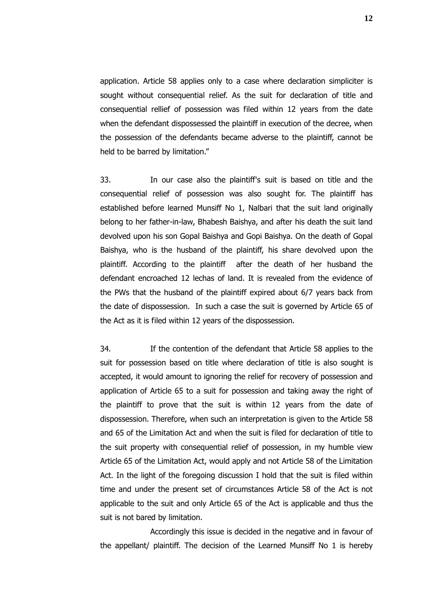application. Article 58 applies only to a case where declaration simpliciter is sought without consequential relief. As the suit for declaration of title and consequential rellief of possession was filed within 12 years from the date when the defendant dispossessed the plaintiff in execution of the decree, when the possession of the defendants became adverse to the plaintiff, cannot be held to be barred by limitation."

33. In our case also the plaintiff's suit is based on title and the consequential relief of possession was also sought for. The plaintiff has established before learned Munsiff No 1, Nalbari that the suit land originally belong to her father-in-law, Bhabesh Baishya, and after his death the suit land devolved upon his son Gopal Baishya and Gopi Baishya. On the death of Gopal Baishya, who is the husband of the plaintiff, his share devolved upon the plaintiff. According to the plaintiff after the death of her husband the defendant encroached 12 lechas of land. It is revealed from the evidence of the PWs that the husband of the plaintiff expired about 6/7 years back from the date of dispossession. In such a case the suit is governed by Article 65 of the Act as it is filed within 12 years of the dispossession.

34. If the contention of the defendant that Article 58 applies to the suit for possession based on title where declaration of title is also sought is accepted, it would amount to ignoring the relief for recovery of possession and application of Article 65 to a suit for possession and taking away the right of the plaintiff to prove that the suit is within 12 years from the date of dispossession. Therefore, when such an interpretation is given to the Article 58 and 65 of the Limitation Act and when the suit is filed for declaration of title to the suit property with consequential relief of possession, in my humble view Article 65 of the Limitation Act, would apply and not Article 58 of the Limitation Act. In the light of the foregoing discussion I hold that the suit is filed within time and under the present set of circumstances Article 58 of the Act is not applicable to the suit and only Article 65 of the Act is applicable and thus the suit is not bared by limitation.

Accordingly this issue is decided in the negative and in favour of the appellant/ plaintiff. The decision of the Learned Munsiff No 1 is hereby